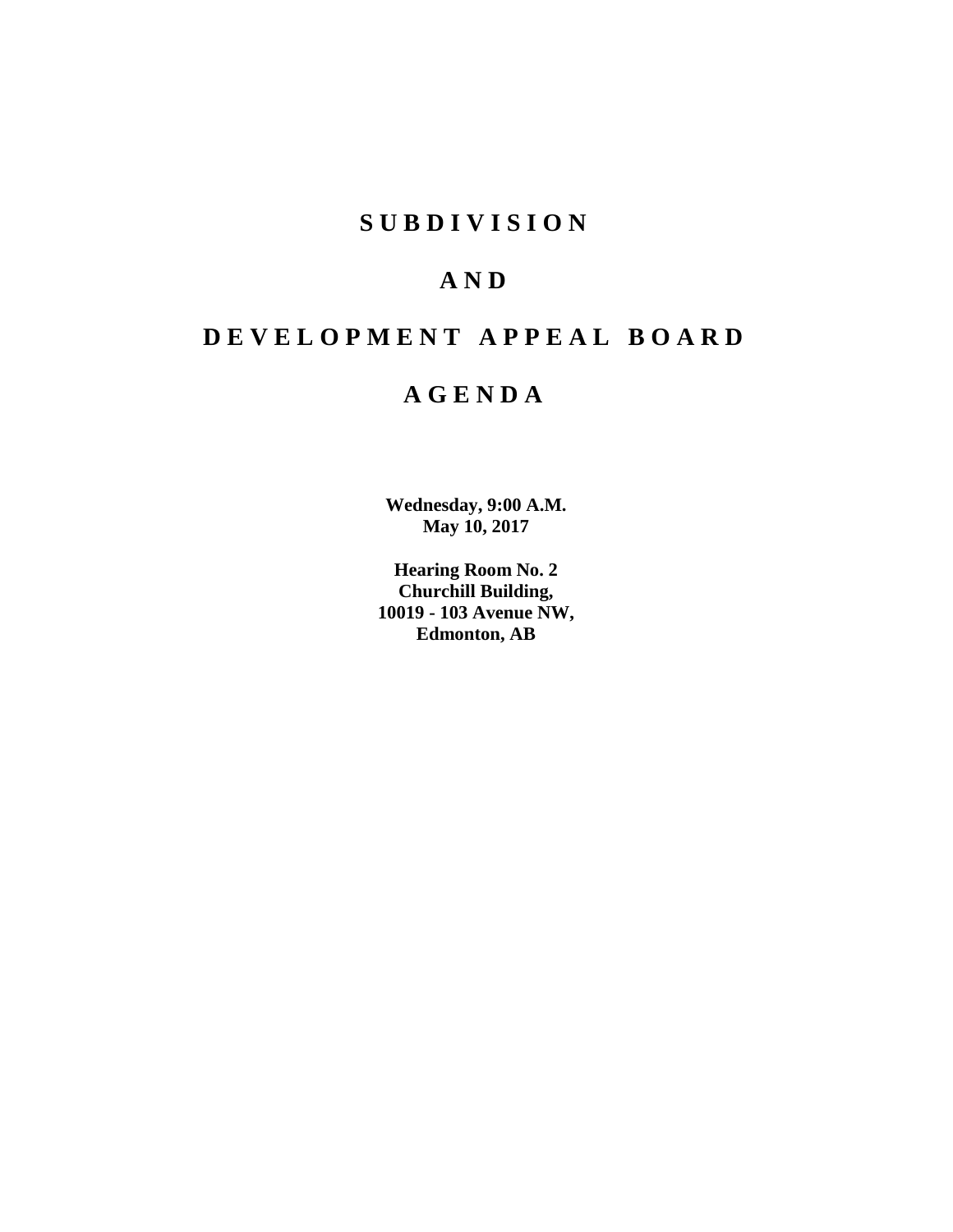## **SUBDIVISION**

## **AND**

# **DEVELOPMENT APPEAL BOARD**

## **AGENDA**

**Wednesday, 9:00 A.M. May 10, 2017**

**Hearing Room No. 2 Churchill Building, 10019 - 103 Avenue NW, Edmonton, AB**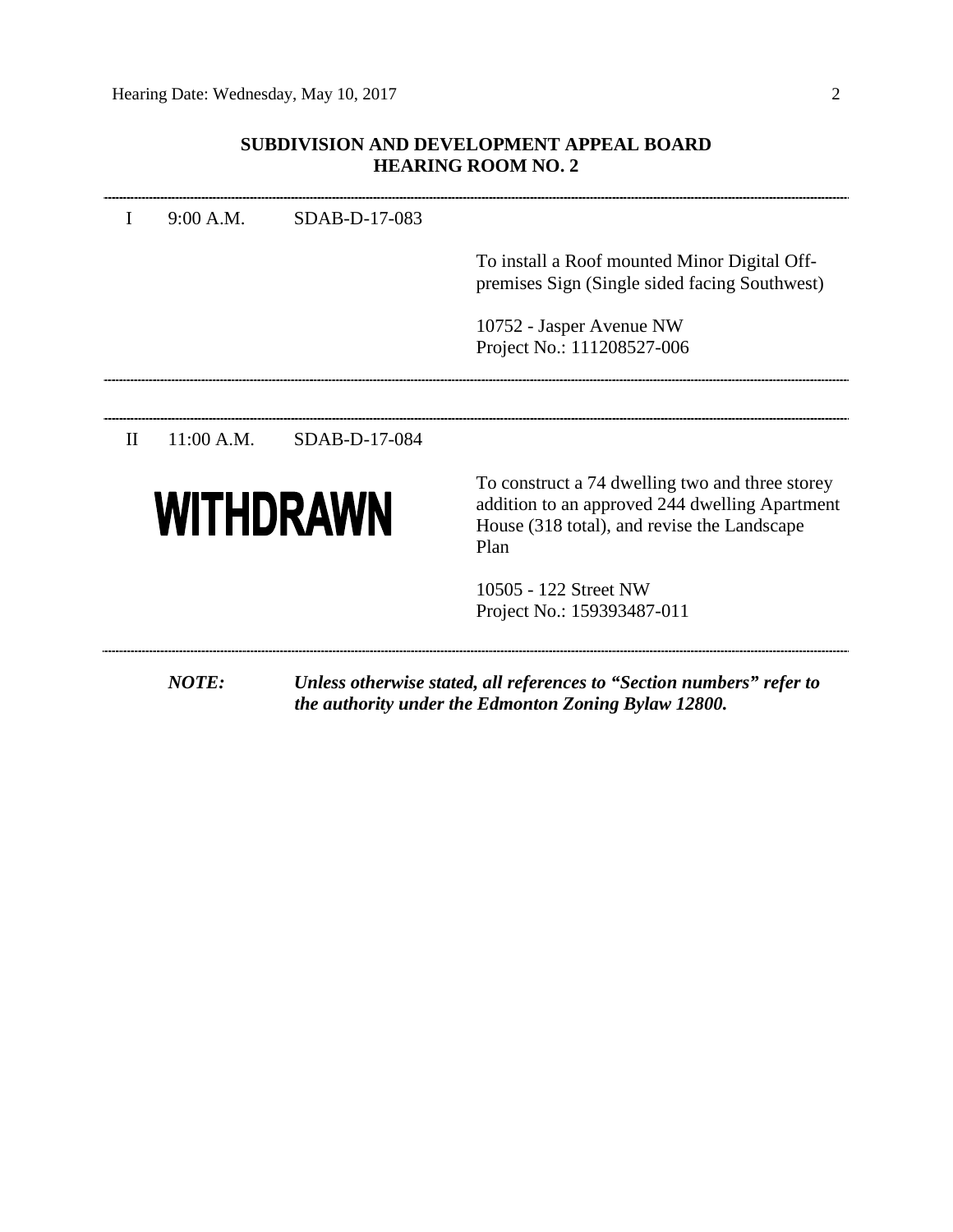## **SUBDIVISION AND DEVELOPMENT APPEAL BOARD HEARING ROOM NO. 2**

|              | 9:00 A.M.    | SDAB-D-17-083 |                                                                                                                                                          |
|--------------|--------------|---------------|----------------------------------------------------------------------------------------------------------------------------------------------------------|
|              |              |               | To install a Roof mounted Minor Digital Off-<br>premises Sign (Single sided facing Southwest)                                                            |
|              |              |               | 10752 - Jasper Avenue NW<br>Project No.: 111208527-006                                                                                                   |
|              |              |               |                                                                                                                                                          |
| $\mathbf{H}$ | $11:00$ A.M. | SDAB-D-17-084 |                                                                                                                                                          |
|              | WITHDRAWN    |               | To construct a 74 dwelling two and three storey<br>addition to an approved 244 dwelling Apartment<br>House (318 total), and revise the Landscape<br>Plan |
|              |              |               | 10505 - 122 Street NW<br>Project No.: 159393487-011                                                                                                      |
|              |              |               |                                                                                                                                                          |
|              | <b>NOTE:</b> |               | Unless otherwise stated, all references to "Section numbers" refer to<br>the authority under the Edmonton Zoning Bylaw 12800.                            |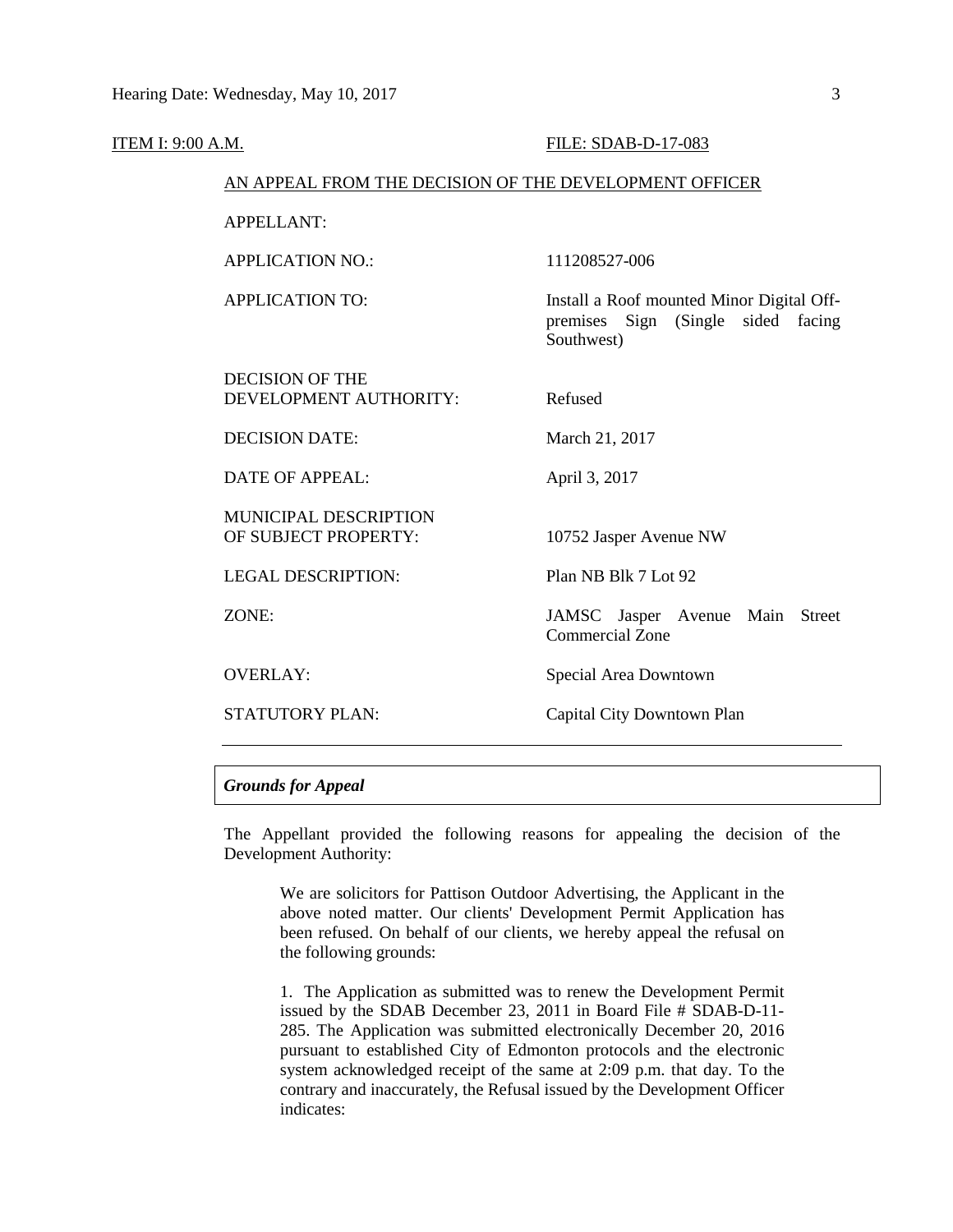| ITEM I: 9:00 A.M. |                                                        | FILE: SDAB-D-17-083                                                                           |  |  |  |
|-------------------|--------------------------------------------------------|-----------------------------------------------------------------------------------------------|--|--|--|
|                   | AN APPEAL FROM THE DECISION OF THE DEVELOPMENT OFFICER |                                                                                               |  |  |  |
|                   | <b>APPELLANT:</b>                                      |                                                                                               |  |  |  |
|                   | <b>APPLICATION NO.:</b>                                | 111208527-006                                                                                 |  |  |  |
|                   | <b>APPLICATION TO:</b>                                 | Install a Roof mounted Minor Digital Off-<br>premises Sign (Single sided facing<br>Southwest) |  |  |  |
|                   | <b>DECISION OF THE</b><br>DEVELOPMENT AUTHORITY:       | Refused                                                                                       |  |  |  |
|                   | <b>DECISION DATE:</b>                                  | March 21, 2017                                                                                |  |  |  |
|                   | <b>DATE OF APPEAL:</b>                                 | April 3, 2017                                                                                 |  |  |  |
|                   | <b>MUNICIPAL DESCRIPTION</b><br>OF SUBJECT PROPERTY:   | 10752 Jasper Avenue NW                                                                        |  |  |  |
|                   | <b>LEGAL DESCRIPTION:</b>                              | Plan NB Blk 7 Lot 92                                                                          |  |  |  |
|                   | ZONE:                                                  | JAMSC Jasper Avenue Main Street<br><b>Commercial Zone</b>                                     |  |  |  |
|                   | <b>OVERLAY:</b>                                        | Special Area Downtown                                                                         |  |  |  |
|                   | <b>STATUTORY PLAN:</b>                                 | Capital City Downtown Plan                                                                    |  |  |  |
|                   |                                                        |                                                                                               |  |  |  |

## *Grounds for Appeal*

The Appellant provided the following reasons for appealing the decision of the Development Authority:

We are solicitors for Pattison Outdoor Advertising, the Applicant in the above noted matter. Our clients' Development Permit Application has been refused. On behalf of our clients, we hereby appeal the refusal on the following grounds:

1. The Application as submitted was to renew the Development Permit issued by the SDAB December 23, 2011 in Board File # SDAB-D-11- 285. The Application was submitted electronically December 20, 2016 pursuant to established City of Edmonton protocols and the electronic system acknowledged receipt of the same at 2:09 p.m. that day. To the contrary and inaccurately, the Refusal issued by the Development Officer indicates: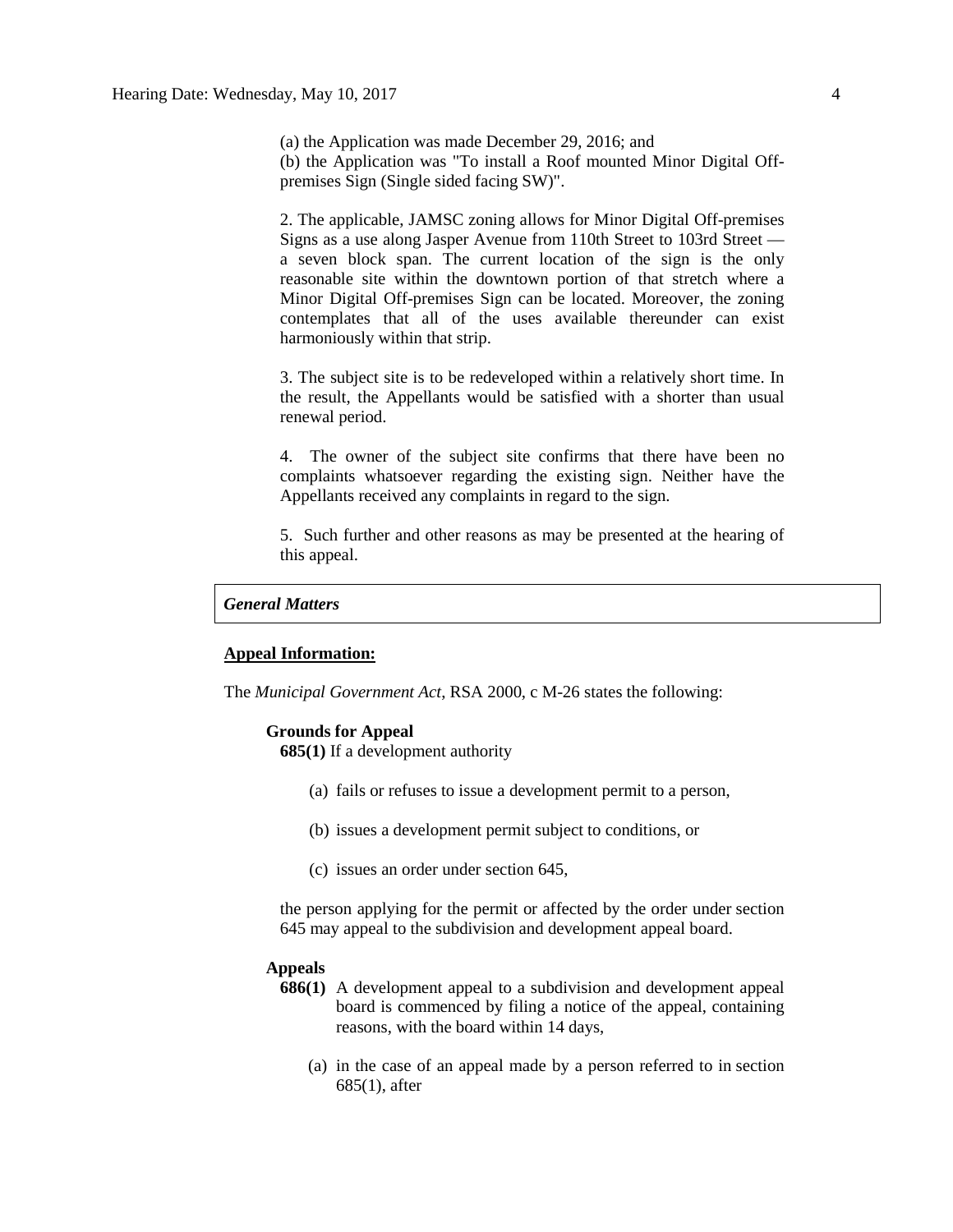(a) the Application was made December 29, 2016; and (b) the Application was "To install a Roof mounted Minor Digital Offpremises Sign (Single sided facing SW)".

2. The applicable, JAMSC zoning allows for Minor Digital Off-premises Signs as a use along Jasper Avenue from 110th Street to 103rd Street a seven block span. The current location of the sign is the only reasonable site within the downtown portion of that stretch where a Minor Digital Off-premises Sign can be located. Moreover, the zoning contemplates that all of the uses available thereunder can exist harmoniously within that strip.

3. The subject site is to be redeveloped within a relatively short time. In the result, the Appellants would be satisfied with a shorter than usual renewal period.

4. The owner of the subject site confirms that there have been no complaints whatsoever regarding the existing sign. Neither have the Appellants received any complaints in regard to the sign.

5. Such further and other reasons as may be presented at the hearing of this appeal.

## *General Matters*

## **Appeal Information:**

The *Municipal Government Act*, RSA 2000, c M-26 states the following:

### **Grounds for Appeal**

**685(1)** If a development authority

- (a) fails or refuses to issue a development permit to a person,
- (b) issues a development permit subject to conditions, or
- (c) issues an order under section 645,

the person applying for the permit or affected by the order under section 645 may appeal to the subdivision and development appeal board.

## **Appeals**

- **686(1)** A development appeal to a subdivision and development appeal board is commenced by filing a notice of the appeal, containing reasons, with the board within 14 days,
	- (a) in the case of an appeal made by a person referred to in section 685(1), after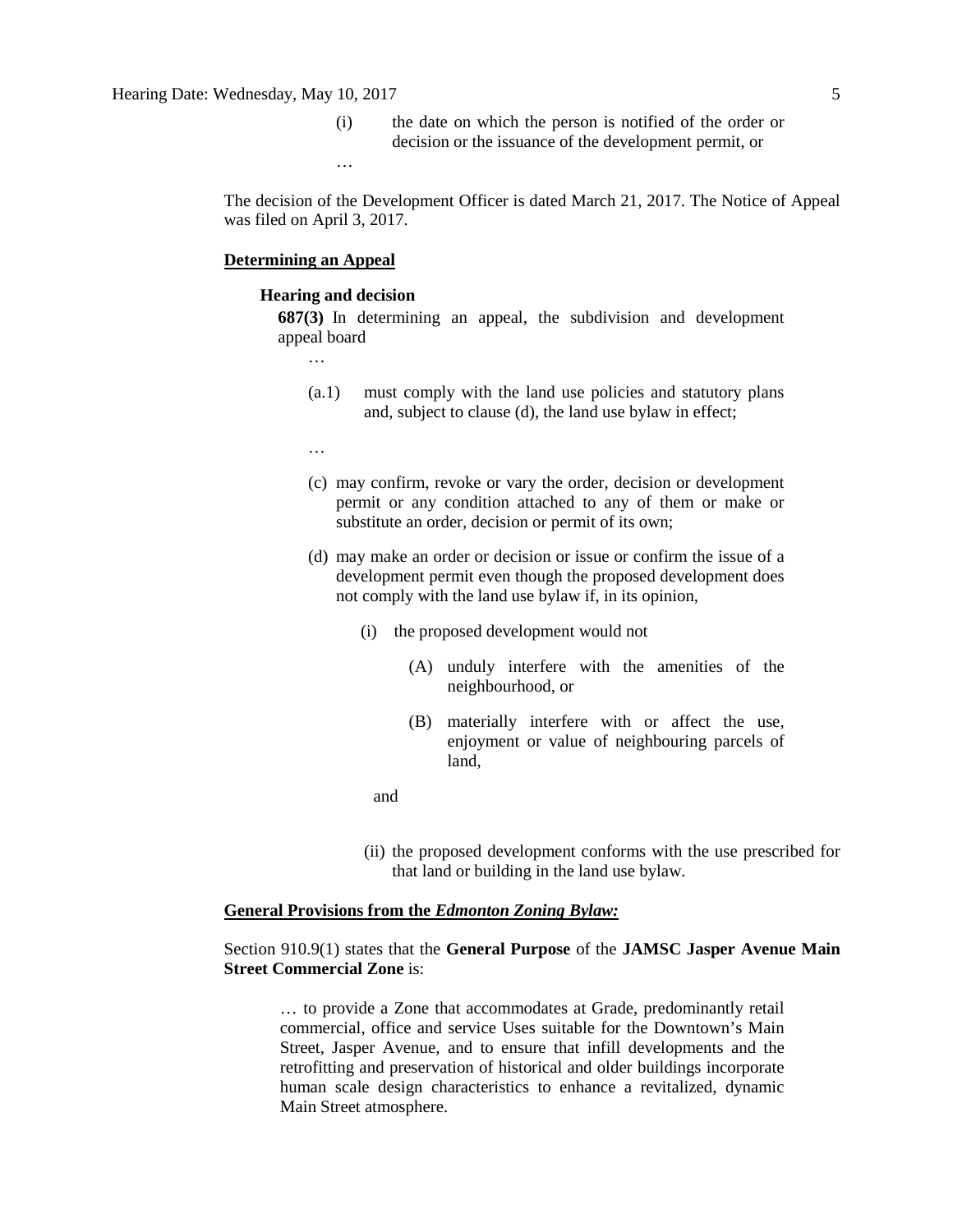(i) the date on which the person is notified of the order or decision or the issuance of the development permit, or

…

The decision of the Development Officer is dated March 21, 2017. The Notice of Appeal was filed on April 3, 2017.

## **Determining an Appeal**

#### **Hearing and decision**

**687(3)** In determining an appeal, the subdivision and development appeal board

…

- (a.1) must comply with the land use policies and statutory plans and, subject to clause (d), the land use bylaw in effect;
- …
- (c) may confirm, revoke or vary the order, decision or development permit or any condition attached to any of them or make or substitute an order, decision or permit of its own;
- (d) may make an order or decision or issue or confirm the issue of a development permit even though the proposed development does not comply with the land use bylaw if, in its opinion,
	- (i) the proposed development would not
		- (A) unduly interfere with the amenities of the neighbourhood, or
		- (B) materially interfere with or affect the use, enjoyment or value of neighbouring parcels of land,
- and
	- (ii) the proposed development conforms with the use prescribed for that land or building in the land use bylaw.

## **General Provisions from the** *Edmonton Zoning Bylaw:*

## Section 910.9(1) states that the **General Purpose** of the **JAMSC Jasper Avenue Main Street Commercial Zone** is:

… to provide a Zone that accommodates at Grade, predominantly retail commercial, office and service Uses suitable for the Downtown's Main Street, Jasper Avenue, and to ensure that infill developments and the retrofitting and preservation of historical and older buildings incorporate human scale design characteristics to enhance a revitalized, dynamic Main Street atmosphere.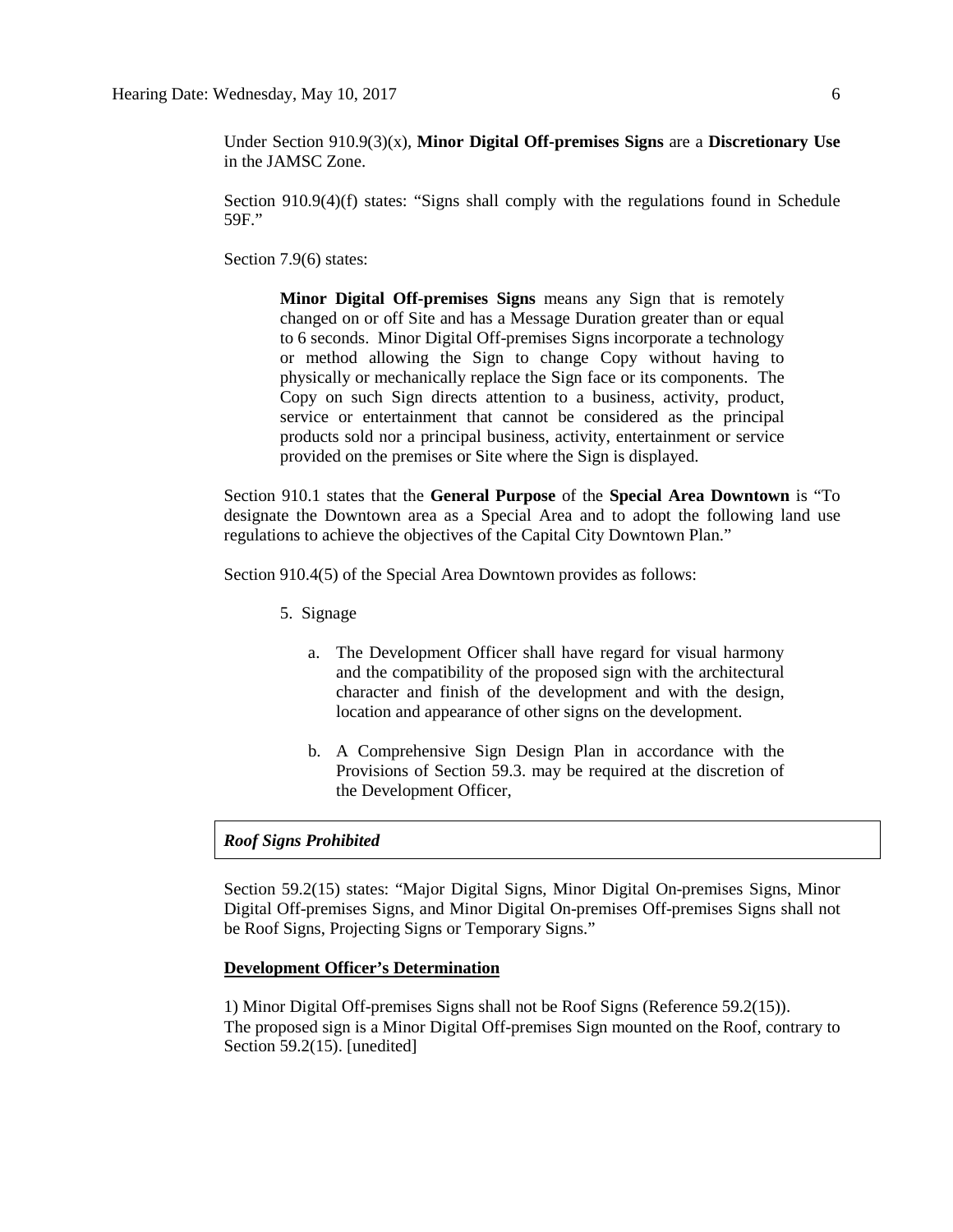Under Section 910.9(3)(x), **Minor Digital Off-premises Signs** are a **Discretionary Use** in the JAMSC Zone.

Section 910.9(4)(f) states: "Signs shall comply with the regulations found in Schedule 59F."

Section 7.9(6) states:

**Minor Digital Off-premises Signs** means any Sign that is remotely changed on or off Site and has a Message Duration greater than or equal to 6 seconds. Minor Digital Off-premises Signs incorporate a technology or method allowing the Sign to change Copy without having to physically or mechanically replace the Sign face or its components. The Copy on such Sign directs attention to a business, activity, product, service or entertainment that cannot be considered as the principal products sold nor a principal business, activity, entertainment or service provided on the premises or Site where the Sign is displayed.

Section 910.1 states that the **General Purpose** of the **Special Area Downtown** is "To designate the Downtown area as a Special Area and to adopt the following land use regulations to achieve the objectives of the Capital City Downtown Plan."

Section 910.4(5) of the Special Area Downtown provides as follows:

- 5. Signage
	- a. The Development Officer shall have regard for visual harmony and the compatibility of the proposed sign with the architectural character and finish of the development and with the design, location and appearance of other signs on the development.
	- b. A Comprehensive Sign Design Plan in accordance with the Provisions of Section 59.3. may be required at the discretion of the Development Officer,

## *Roof Signs Prohibited*

Section 59.2(15) states: "Major Digital Signs, Minor Digital On-premises Signs, Minor Digital Off-premises Signs, and Minor Digital On-premises Off-premises Signs shall not be Roof Signs, Projecting Signs or Temporary Signs."

## **Development Officer's Determination**

1) Minor Digital Off-premises Signs shall not be Roof Signs (Reference 59.2(15)). The proposed sign is a Minor Digital Off-premises Sign mounted on the Roof, contrary to Section 59.2(15). [unedited]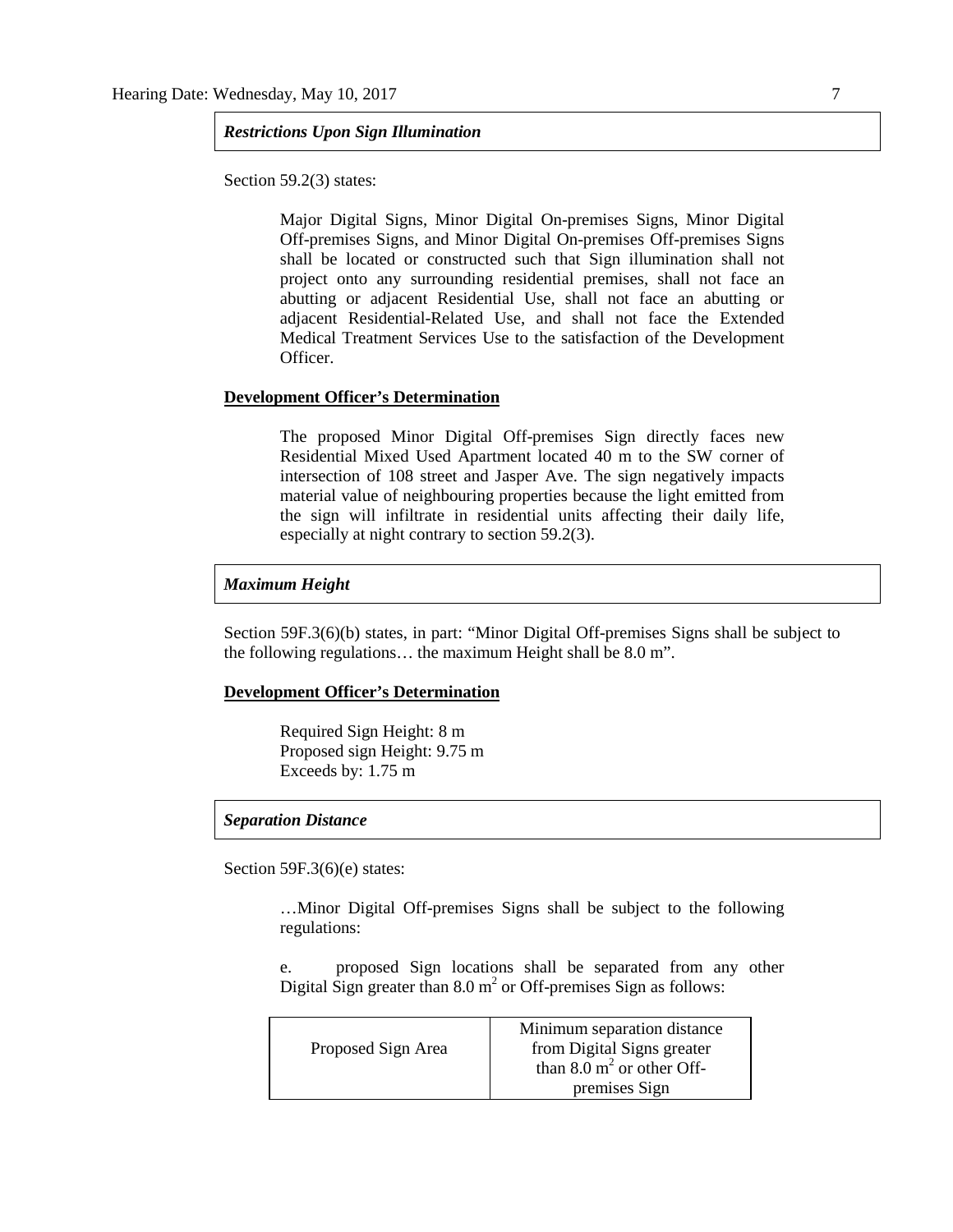## *Restrictions Upon Sign Illumination*

Section 59.2(3) states:

Major Digital Signs, Minor Digital On-premises Signs, Minor Digital Off-premises Signs, and Minor Digital On-premises Off-premises Signs shall be located or constructed such that Sign illumination shall not project onto any surrounding residential premises, shall not face an abutting or adjacent Residential Use, shall not face an abutting or adjacent Residential-Related Use, and shall not face the Extended Medical Treatment Services Use to the satisfaction of the Development Officer.

## **Development Officer's Determination**

The proposed Minor Digital Off-premises Sign directly faces new Residential Mixed Used Apartment located 40 m to the SW corner of intersection of 108 street and Jasper Ave. The sign negatively impacts material value of neighbouring properties because the light emitted from the sign will infiltrate in residential units affecting their daily life, especially at night contrary to section 59.2(3).

### *Maximum Height*

Section 59F.3(6)(b) states, in part: "Minor Digital Off-premises Signs shall be subject to the following regulations… the maximum Height shall be 8.0 m".

## **Development Officer's Determination**

Required Sign Height: 8 m Proposed sign Height: 9.75 m Exceeds by: 1.75 m

#### *Separation Distance*

Section 59F.3(6)(e) states:

…Minor Digital Off-premises Signs shall be subject to the following regulations:

e. proposed Sign locations shall be separated from any other Digital Sign greater than  $8.0 \text{ m}^2$  or Off-premises Sign as follows:

|                    | Minimum separation distance          |
|--------------------|--------------------------------------|
| Proposed Sign Area | from Digital Signs greater           |
|                    | than $8.0 \text{ m}^2$ or other Off- |
|                    | premises Sign                        |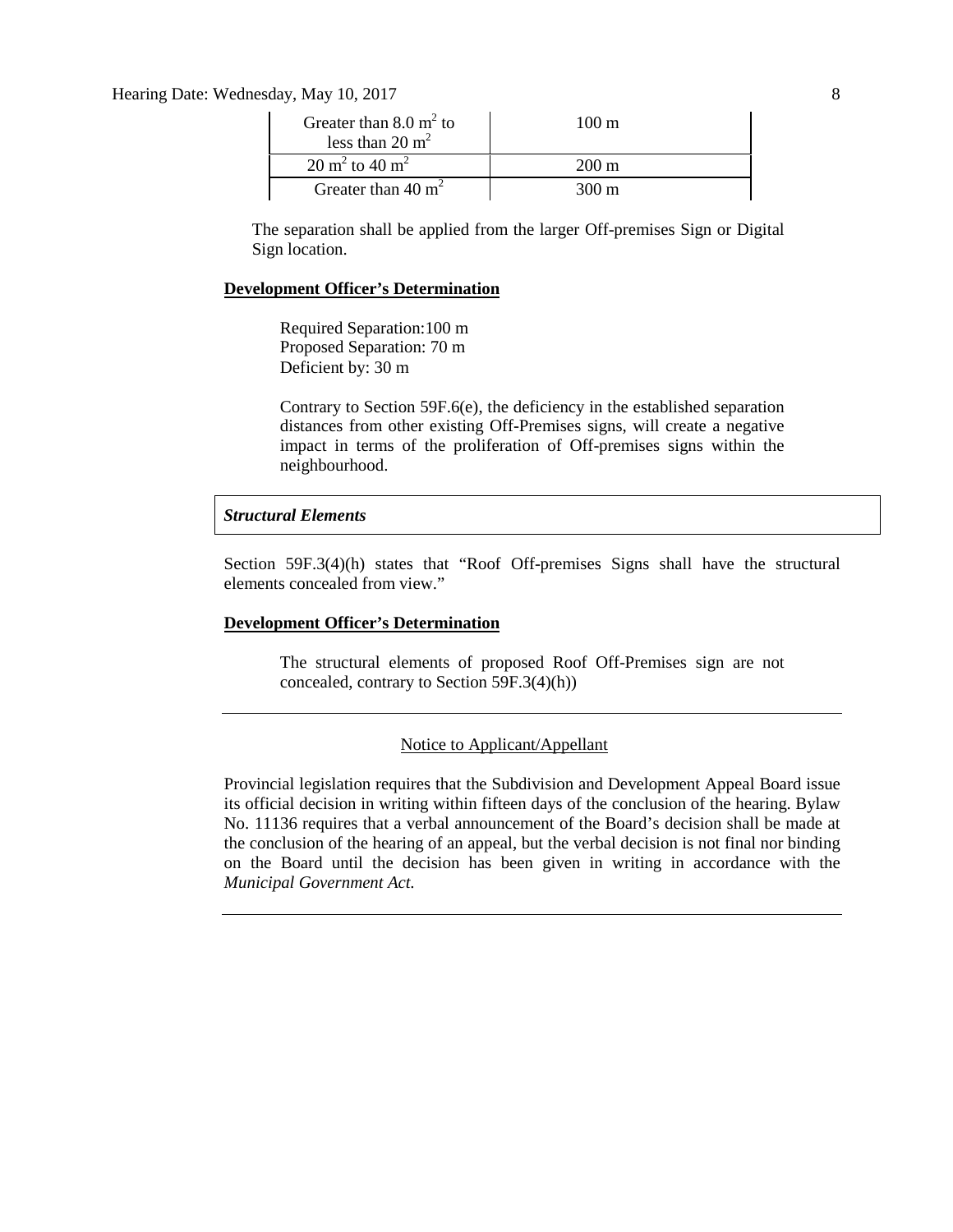Hearing Date: Wednesday, May 10, 2017 8

| Greater than $8.0 \text{ m}^2$ to<br>less than $20 \text{ m}^2$ | $100 \text{ m}$ |
|-----------------------------------------------------------------|-----------------|
| $20 \text{ m}^2$ to $40 \text{ m}^2$                            | $200 \text{ m}$ |
| Greater than 40 $m2$                                            | 300 m           |

The separation shall be applied from the larger Off-premises Sign or Digital Sign location.

## **Development Officer's Determination**

Required Separation:100 m Proposed Separation: 70 m Deficient by: 30 m

Contrary to Section 59F.6(e), the deficiency in the established separation distances from other existing Off-Premises signs, will create a negative impact in terms of the proliferation of Off-premises signs within the neighbourhood.

## *Structural Elements*

Section 59F.3(4)(h) states that "Roof Off-premises Signs shall have the structural elements concealed from view."

## **Development Officer's Determination**

The structural elements of proposed Roof Off-Premises sign are not concealed, contrary to Section 59F.3(4)(h))

## Notice to Applicant/Appellant

Provincial legislation requires that the Subdivision and Development Appeal Board issue its official decision in writing within fifteen days of the conclusion of the hearing. Bylaw No. 11136 requires that a verbal announcement of the Board's decision shall be made at the conclusion of the hearing of an appeal, but the verbal decision is not final nor binding on the Board until the decision has been given in writing in accordance with the *Municipal Government Act.*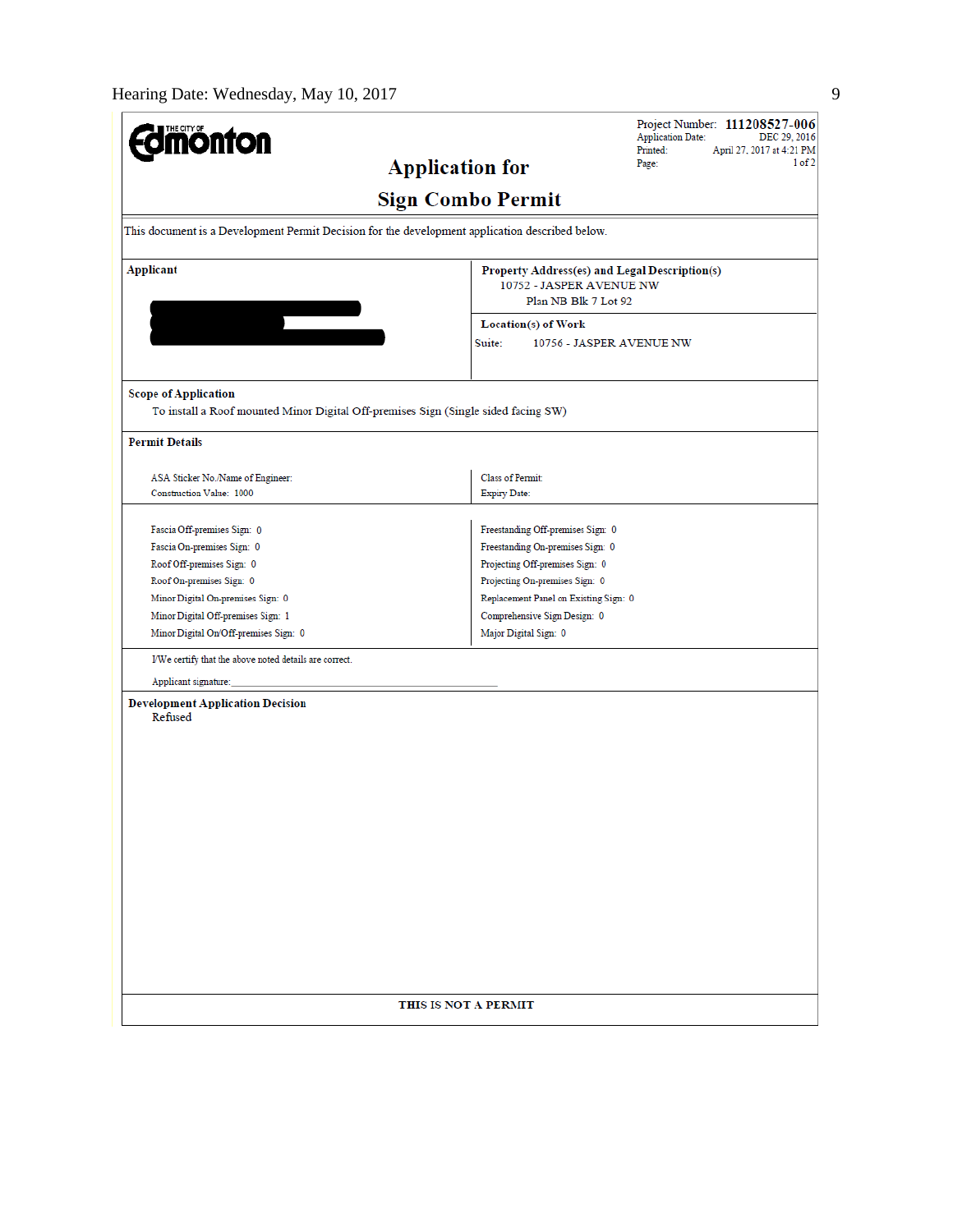| <b>onfon</b>                                                                                    | Project Number: 111208527-006<br><b>Application Date:</b><br>DEC 29, 2016<br>Printed:<br>April 27, 2017 at 4:21 PM |  |  |  |  |  |
|-------------------------------------------------------------------------------------------------|--------------------------------------------------------------------------------------------------------------------|--|--|--|--|--|
| <b>Application for</b>                                                                          | 1 of 2<br>Page:                                                                                                    |  |  |  |  |  |
| <b>Sign Combo Permit</b>                                                                        |                                                                                                                    |  |  |  |  |  |
| This document is a Development Permit Decision for the development application described below. |                                                                                                                    |  |  |  |  |  |
| <b>Applicant</b>                                                                                | Property Address(es) and Legal Description(s)<br>10752 - JASPER AVENUE NW<br>Plan NB Blk 7 Lot 92                  |  |  |  |  |  |
| $\overline{\phantom{a}}$                                                                        | Location(s) of Work                                                                                                |  |  |  |  |  |
|                                                                                                 | Suite:<br>10756 - JASPER AVENUE NW                                                                                 |  |  |  |  |  |
| <b>Scope of Application</b>                                                                     |                                                                                                                    |  |  |  |  |  |
| To install a Roof mounted Minor Digital Off-premises Sign (Single sided facing SW)              |                                                                                                                    |  |  |  |  |  |
| <b>Permit Details</b>                                                                           |                                                                                                                    |  |  |  |  |  |
| ASA Sticker No./Name of Engineer:                                                               | Class of Permit:                                                                                                   |  |  |  |  |  |
| Construction Value: 1000                                                                        | <b>Expiry Date:</b>                                                                                                |  |  |  |  |  |
|                                                                                                 |                                                                                                                    |  |  |  |  |  |
| Fascia Off-premises Sign: 0                                                                     | Freestanding Off-premises Sign: 0                                                                                  |  |  |  |  |  |
| Fascia On-premises Sign: 0                                                                      | Freestanding On-premises Sign: 0                                                                                   |  |  |  |  |  |
| Roof Off-premises Sign: 0                                                                       | Projecting Off-premises Sign: 0                                                                                    |  |  |  |  |  |
| Roof On-premises Sign: 0                                                                        | Projecting On-premises Sign: 0                                                                                     |  |  |  |  |  |
| Minor Digital On-premises Sign: 0                                                               | Replacement Panel on Existing Sign: 0                                                                              |  |  |  |  |  |
| Minor Digital Off-premises Sign: 1                                                              | Comprehensive Sign Design: 0                                                                                       |  |  |  |  |  |
| Minor Digital On/Off-premises Sign: 0                                                           | Major Digital Sign: 0                                                                                              |  |  |  |  |  |
| I/We certify that the above noted details are correct.                                          |                                                                                                                    |  |  |  |  |  |
| Applicant signature:                                                                            |                                                                                                                    |  |  |  |  |  |
| <b>Development Application Decision</b><br>Refused                                              |                                                                                                                    |  |  |  |  |  |
|                                                                                                 |                                                                                                                    |  |  |  |  |  |
|                                                                                                 |                                                                                                                    |  |  |  |  |  |
|                                                                                                 |                                                                                                                    |  |  |  |  |  |
|                                                                                                 |                                                                                                                    |  |  |  |  |  |
|                                                                                                 |                                                                                                                    |  |  |  |  |  |
|                                                                                                 |                                                                                                                    |  |  |  |  |  |
|                                                                                                 |                                                                                                                    |  |  |  |  |  |
|                                                                                                 |                                                                                                                    |  |  |  |  |  |
|                                                                                                 |                                                                                                                    |  |  |  |  |  |
|                                                                                                 |                                                                                                                    |  |  |  |  |  |
|                                                                                                 |                                                                                                                    |  |  |  |  |  |
|                                                                                                 |                                                                                                                    |  |  |  |  |  |
|                                                                                                 |                                                                                                                    |  |  |  |  |  |
| THIS IS NOT A PERMIT                                                                            |                                                                                                                    |  |  |  |  |  |
|                                                                                                 |                                                                                                                    |  |  |  |  |  |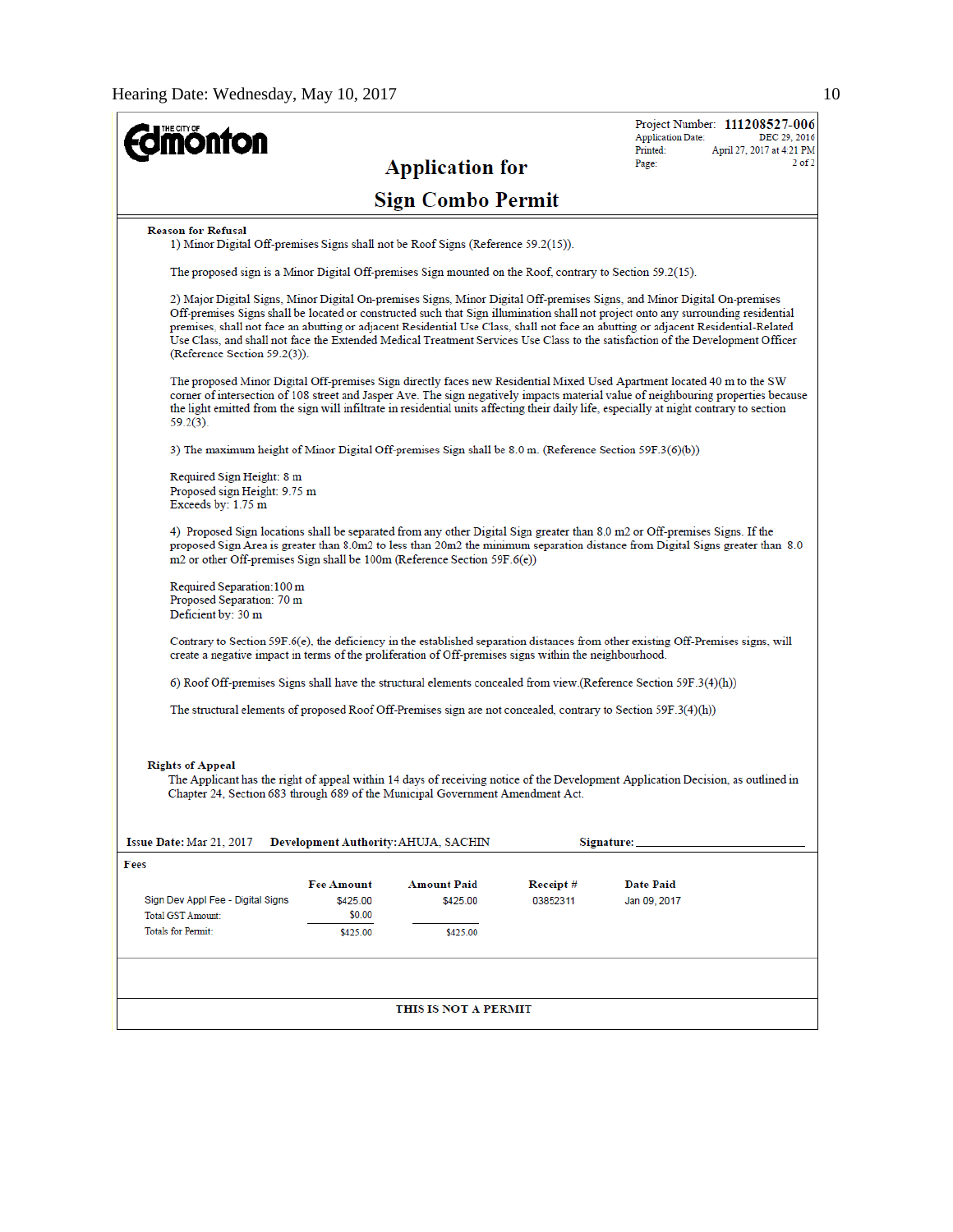| <b>onton</b>                                                                                                                                                                                                                                                                                                                                                                                                             |                                                                                                                                                                                                                                                                                                                                                                                                                                                                                                                                                                       |                                      |                      | <b>Application Date:</b>         | Project Number: 111208527-006<br>DEC 29, 2016 |  |  |
|--------------------------------------------------------------------------------------------------------------------------------------------------------------------------------------------------------------------------------------------------------------------------------------------------------------------------------------------------------------------------------------------------------------------------|-----------------------------------------------------------------------------------------------------------------------------------------------------------------------------------------------------------------------------------------------------------------------------------------------------------------------------------------------------------------------------------------------------------------------------------------------------------------------------------------------------------------------------------------------------------------------|--------------------------------------|----------------------|----------------------------------|-----------------------------------------------|--|--|
|                                                                                                                                                                                                                                                                                                                                                                                                                          |                                                                                                                                                                                                                                                                                                                                                                                                                                                                                                                                                                       | <b>Application for</b>               |                      | Printed:<br>Page:                | April 27, 2017 at 4:21 PM<br>$2$ of $2$       |  |  |
| <b>Sign Combo Permit</b>                                                                                                                                                                                                                                                                                                                                                                                                 |                                                                                                                                                                                                                                                                                                                                                                                                                                                                                                                                                                       |                                      |                      |                                  |                                               |  |  |
| <b>Reason for Refusal</b><br>1) Minor Digital Off-premises Signs shall not be Roof Signs (Reference 59.2(15)).                                                                                                                                                                                                                                                                                                           |                                                                                                                                                                                                                                                                                                                                                                                                                                                                                                                                                                       |                                      |                      |                                  |                                               |  |  |
|                                                                                                                                                                                                                                                                                                                                                                                                                          | The proposed sign is a Minor Digital Off-premises Sign mounted on the Roof, contrary to Section 59.2(15).                                                                                                                                                                                                                                                                                                                                                                                                                                                             |                                      |                      |                                  |                                               |  |  |
|                                                                                                                                                                                                                                                                                                                                                                                                                          | 2) Major Digital Signs, Minor Digital On-premises Signs, Minor Digital Off-premises Signs, and Minor Digital On-premises<br>Off-premises Signs shall be located or constructed such that Sign illumination shall not project onto any surrounding residential<br>premises, shall not face an abutting or adjacent Residential Use Class, shall not face an abutting or adjacent Residential-Related<br>Use Class, and shall not face the Extended Medical Treatment Services Use Class to the satisfaction of the Development Officer<br>(Reference Section 59.2(3)). |                                      |                      |                                  |                                               |  |  |
| The proposed Minor Digital Off-premises Sign directly faces new Residential Mixed Used Apartment located 40 m to the SW<br>corner of intersection of 108 street and Jasper Ave. The sign negatively impacts material value of neighbouring properties because<br>the light emitted from the sign will infiltrate in residential units affecting their daily life, especially at night contrary to section<br>$59.2(3)$ . |                                                                                                                                                                                                                                                                                                                                                                                                                                                                                                                                                                       |                                      |                      |                                  |                                               |  |  |
|                                                                                                                                                                                                                                                                                                                                                                                                                          | 3) The maximum height of Minor Digital Off-premises Sign shall be 8.0 m. (Reference Section 59F.3(6)(b))                                                                                                                                                                                                                                                                                                                                                                                                                                                              |                                      |                      |                                  |                                               |  |  |
| Required Sign Height: 8 m<br>Proposed sign Height: 9.75 m<br>Exceeds by: 1.75 m                                                                                                                                                                                                                                                                                                                                          |                                                                                                                                                                                                                                                                                                                                                                                                                                                                                                                                                                       |                                      |                      |                                  |                                               |  |  |
| 4) Proposed Sign locations shall be separated from any other Digital Sign greater than 8.0 m2 or Off-premises Signs. If the<br>proposed Sign Area is greater than 8.0m2 to less than 20m2 the minimum separation distance from Digital Signs greater than 8.0<br>m2 or other Off-premises Sign shall be 100m (Reference Section 59F.6(e))                                                                                |                                                                                                                                                                                                                                                                                                                                                                                                                                                                                                                                                                       |                                      |                      |                                  |                                               |  |  |
| Deficient by: 30 m                                                                                                                                                                                                                                                                                                                                                                                                       | Required Separation: 100 m<br>Proposed Separation: 70 m                                                                                                                                                                                                                                                                                                                                                                                                                                                                                                               |                                      |                      |                                  |                                               |  |  |
|                                                                                                                                                                                                                                                                                                                                                                                                                          | Contrary to Section 59F.6(e), the deficiency in the established separation distances from other existing Off-Premises signs, will<br>create a negative impact in terms of the proliferation of Off-premises signs within the neighbourhood.                                                                                                                                                                                                                                                                                                                           |                                      |                      |                                  |                                               |  |  |
|                                                                                                                                                                                                                                                                                                                                                                                                                          | 6) Roof Off-premises Signs shall have the structural elements concealed from view (Reference Section 59F.3(4)(h))                                                                                                                                                                                                                                                                                                                                                                                                                                                     |                                      |                      |                                  |                                               |  |  |
| The structural elements of proposed Roof Off-Premises sign are not concealed, contrary to Section 59F.3(4)(h))                                                                                                                                                                                                                                                                                                           |                                                                                                                                                                                                                                                                                                                                                                                                                                                                                                                                                                       |                                      |                      |                                  |                                               |  |  |
| <b>Rights of Appeal</b><br>The Applicant has the right of appeal within 14 days of receiving notice of the Development Application Decision, as outlined in<br>Chapter 24, Section 683 through 689 of the Municipal Government Amendment Act.                                                                                                                                                                            |                                                                                                                                                                                                                                                                                                                                                                                                                                                                                                                                                                       |                                      |                      |                                  |                                               |  |  |
| Issue Date: Mar 21, 2017                                                                                                                                                                                                                                                                                                                                                                                                 |                                                                                                                                                                                                                                                                                                                                                                                                                                                                                                                                                                       | Development Authority: AHUJA, SACHIN |                      | Signature:                       |                                               |  |  |
| Fees                                                                                                                                                                                                                                                                                                                                                                                                                     |                                                                                                                                                                                                                                                                                                                                                                                                                                                                                                                                                                       |                                      |                      |                                  |                                               |  |  |
| Sign Dev Appl Fee - Digital Signs<br><b>Total GST Amount:</b><br><b>Totals for Permit:</b>                                                                                                                                                                                                                                                                                                                               | <b>Fee Amount</b><br>\$425.00<br>\$0.00                                                                                                                                                                                                                                                                                                                                                                                                                                                                                                                               | <b>Amount Paid</b><br>\$425.00       | Receipt#<br>03852311 | <b>Date Paid</b><br>Jan 09, 2017 |                                               |  |  |
|                                                                                                                                                                                                                                                                                                                                                                                                                          | \$425.00                                                                                                                                                                                                                                                                                                                                                                                                                                                                                                                                                              | \$425.00                             |                      |                                  |                                               |  |  |
|                                                                                                                                                                                                                                                                                                                                                                                                                          |                                                                                                                                                                                                                                                                                                                                                                                                                                                                                                                                                                       |                                      |                      |                                  |                                               |  |  |
| THIS IS NOT A PERMIT                                                                                                                                                                                                                                                                                                                                                                                                     |                                                                                                                                                                                                                                                                                                                                                                                                                                                                                                                                                                       |                                      |                      |                                  |                                               |  |  |
|                                                                                                                                                                                                                                                                                                                                                                                                                          |                                                                                                                                                                                                                                                                                                                                                                                                                                                                                                                                                                       |                                      |                      |                                  |                                               |  |  |